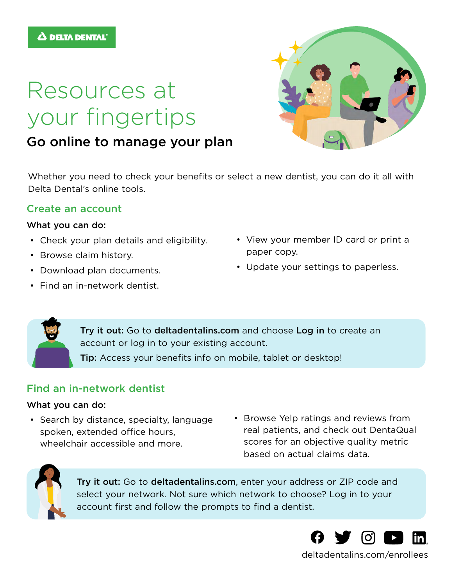# Resources at your fingertips

## Go online to manage your plan

Whether you need to check your benefits or select a new dentist, you can do it all with Delta Dental's online tools.

### Create an account

#### What you can do:

- Check your plan details and eligibility.
- Browse claim history.
- Download plan documents.
- Find an in-network dentist.
- View your member ID card or print a paper copy.
- Update your settings to paperless.

Try it out: Go to [deltadentalins.com](http://deltadentalins.com) and choose [Log in](https://www1.deltadentalins.com/login.html) to create an account or log in to your existing account. Tip: Access your benefits info on mobile, tablet or desktop!

## Find an in-network dentist

#### What you can do:

- Search by distance, specialty, language spoken, extended office hours, wheelchair accessible and more.
- Browse Yelp ratings and reviews from real patients, and check out DentaQual scores for an objective quality metric based on actual claims data.



Try it out: Go to [deltadentalins.com](http://deltadentalins.com), enter your address or ZIP code and select your network. Not sure which network to choose? Log in to your account first and follow the prompts to find a dentist.



[deltadentalins.com/enrollees](https://www1.deltadentalins.com/members.html)